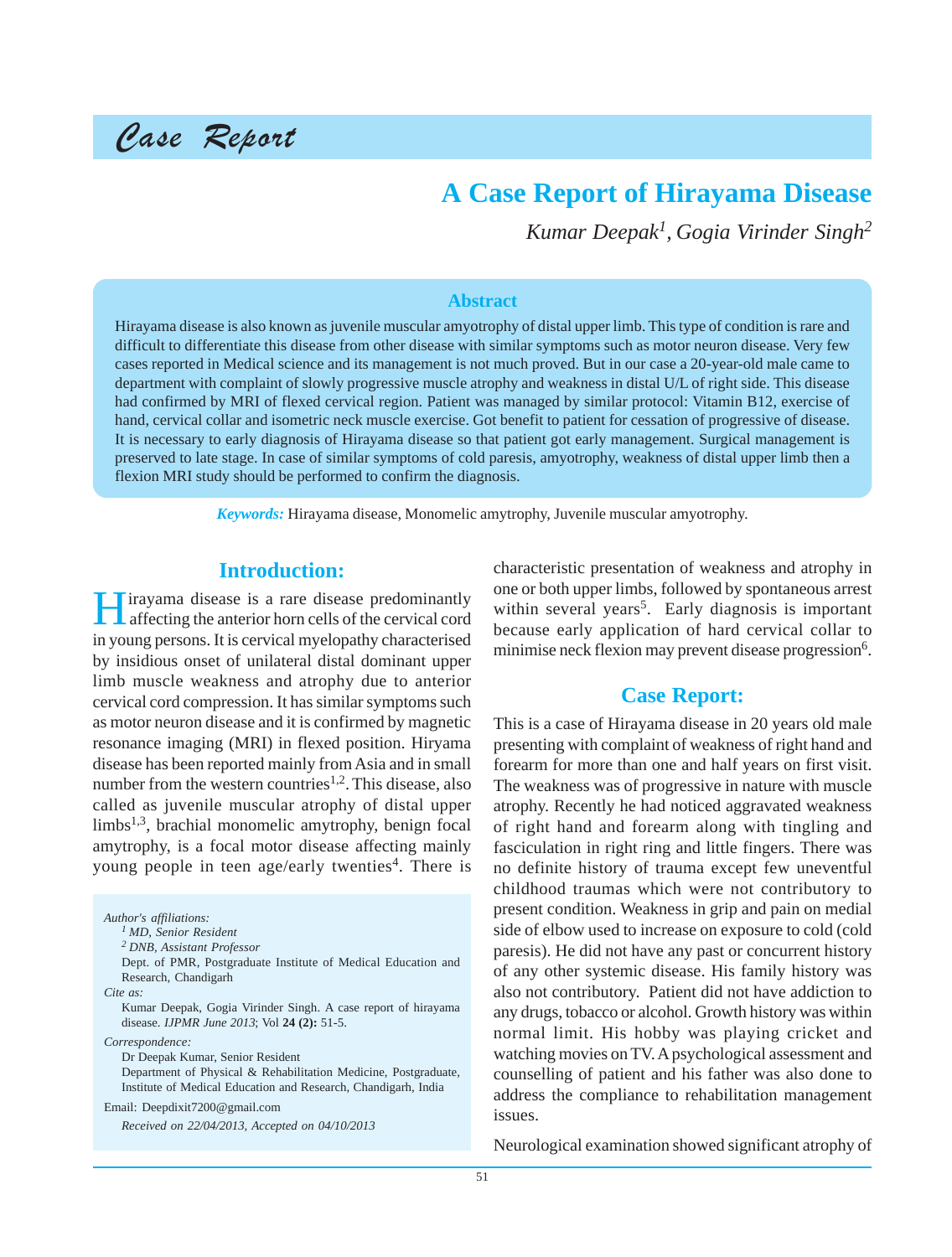# Case Report

# **A Case Report of Hirayama Disease**

*Kumar Deepak1, Gogia Virinder Singh<sup>2</sup>*

#### **Abstract**

Hirayama disease is also known as juvenile muscular amyotrophy of distal upper limb. This type of condition is rare and difficult to differentiate this disease from other disease with similar symptoms such as motor neuron disease. Very few cases reported in Medical science and its management is not much proved. But in our case a 20-year-old male came to department with complaint of slowly progressive muscle atrophy and weakness in distal U/L of right side. This disease had confirmed by MRI of flexed cervical region. Patient was managed by similar protocol: Vitamin B12, exercise of hand, cervical collar and isometric neck muscle exercise. Got benefit to patient for cessation of progressive of disease. It is necessary to early diagnosis of Hirayama disease so that patient got early management. Surgical management is preserved to late stage. In case of similar symptoms of cold paresis, amyotrophy, weakness of distal upper limb then a flexion MRI study should be performed to confirm the diagnosis.

*Keywords:* Hirayama disease, Monomelic amytrophy, Juvenile muscular amyotrophy.

#### **Introduction:**

Hirayama disease is a rare disease predominantly affecting the anterior horn cells of the cervical cord in young persons. It is cervical myelopathy characterised by insidious onset of unilateral distal dominant upper limb muscle weakness and atrophy due to anterior cervical cord compression. It has similar symptoms such as motor neuron disease and it is confirmed by magnetic resonance imaging (MRI) in flexed position. Hiryama disease has been reported mainly from Asia and in small number from the western countries<sup>1,2</sup>. This disease, also called as juvenile muscular atrophy of distal upper limbs<sup>1,3</sup>, brachial monomelic amytrophy, benign focal amytrophy, is a focal motor disease affecting mainly young people in teen age/early twenties<sup>4</sup>. There is

*Author's affiliations: 1 MD, Senior Resident 2 DNB, Assistant Professor* Dept. of PMR, Postgraduate Institute of Medical Education and Research, Chandigarh *Cite as:* Kumar Deepak, Gogia Virinder Singh. A case report of hirayama disease. *IJPMR June 2013*; Vol **24 (2):** 51-5. *Correspondence:* Dr Deepak Kumar, Senior Resident Department of Physical & Rehabilitation Medicine, Postgraduate, Institute of Medical Education and Research, Chandigarh, India Email: Deepdixit7200@gmail.com *Received on 22/04/2013, Accepted on 04/10/2013*

characteristic presentation of weakness and atrophy in one or both upper limbs, followed by spontaneous arrest within several years<sup>5</sup>. Early diagnosis is important because early application of hard cervical collar to minimise neck flexion may prevent disease progression<sup>6</sup>.

#### **Case Report:**

This is a case of Hirayama disease in 20 years old male presenting with complaint of weakness of right hand and forearm for more than one and half years on first visit. The weakness was of progressive in nature with muscle atrophy. Recently he had noticed aggravated weakness of right hand and forearm along with tingling and fasciculation in right ring and little fingers. There was no definite history of trauma except few uneventful childhood traumas which were not contributory to present condition. Weakness in grip and pain on medial side of elbow used to increase on exposure to cold (cold paresis). He did not have any past or concurrent history of any other systemic disease. His family history was also not contributory. Patient did not have addiction to any drugs, tobacco or alcohol. Growth history was within normal limit. His hobby was playing cricket and watching movies on TV. A psychological assessment and counselling of patient and his father was also done to address the compliance to rehabilitation management issues.

Neurological examination showed significant atrophy of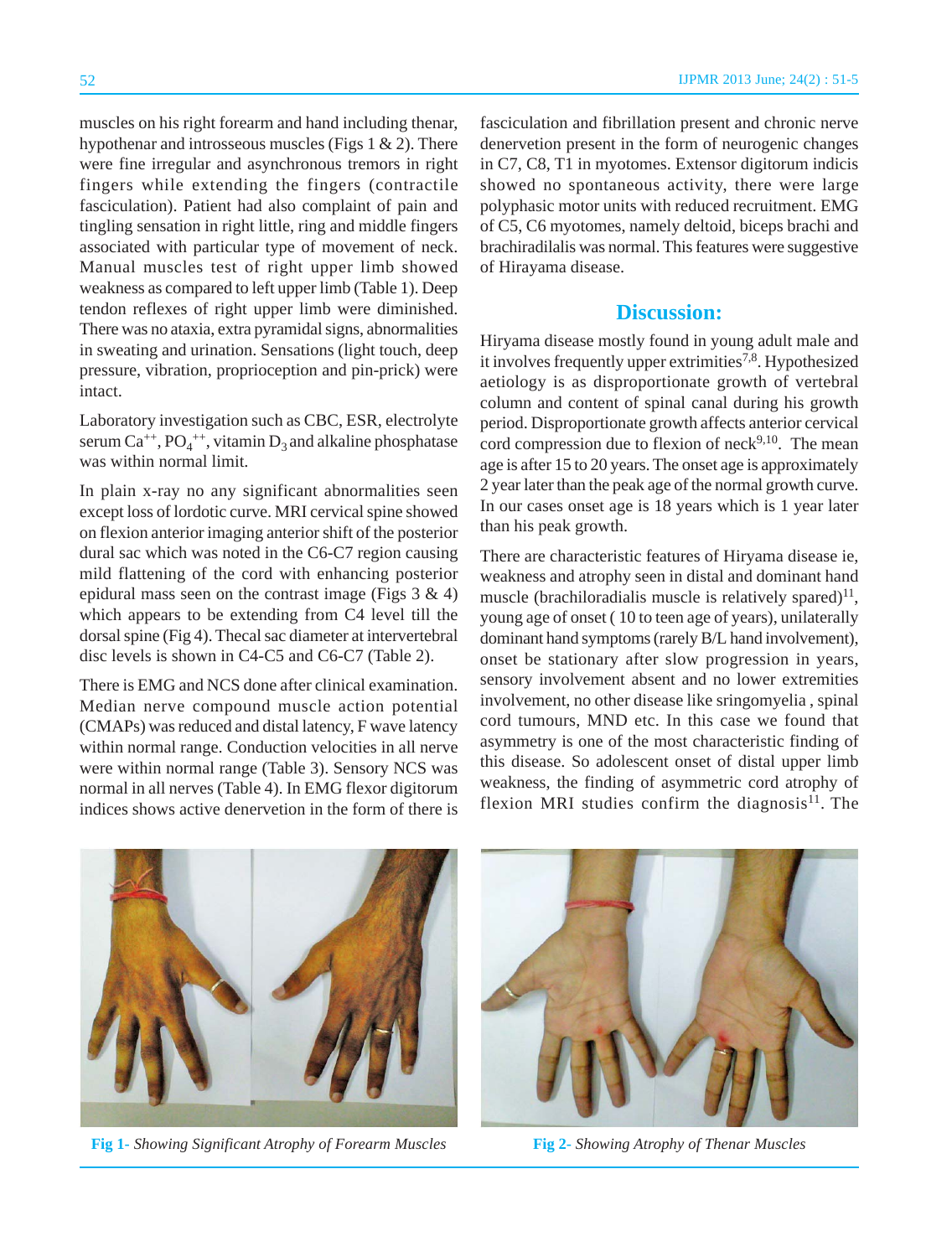muscles on his right forearm and hand including thenar, hypothenar and introsseous muscles (Figs  $1 \& 2$ ). There were fine irregular and asynchronous tremors in right fingers while extending the fingers (contractile fasciculation). Patient had also complaint of pain and tingling sensation in right little, ring and middle fingers associated with particular type of movement of neck. Manual muscles test of right upper limb showed weakness as compared to left upper limb (Table 1). Deep tendon reflexes of right upper limb were diminished. There was no ataxia, extra pyramidal signs, abnormalities in sweating and urination. Sensations (light touch, deep pressure, vibration, proprioception and pin-prick) were intact.

Laboratory investigation such as CBC, ESR, electrolyte serum  $Ca^{++}$ ,  $PO_4^{++}$ , vitamin  $D_3$  and alkaline phosphatase was within normal limit.

In plain x-ray no any significant abnormalities seen except loss of lordotic curve. MRI cervical spine showed on flexion anterior imaging anterior shift of the posterior dural sac which was noted in the C6-C7 region causing mild flattening of the cord with enhancing posterior epidural mass seen on the contrast image (Figs  $3 \& 4$ ) which appears to be extending from C4 level till the dorsal spine (Fig 4). Thecal sac diameter at intervertebral disc levels is shown in C4-C5 and C6-C7 (Table 2).

There is EMG and NCS done after clinical examination. Median nerve compound muscle action potential (CMAPs) was reduced and distal latency, F wave latency within normal range. Conduction velocities in all nerve were within normal range (Table 3). Sensory NCS was normal in all nerves (Table 4). In EMG flexor digitorum indices shows active denervetion in the form of there is fasciculation and fibrillation present and chronic nerve denervetion present in the form of neurogenic changes in C7, C8, T1 in myotomes. Extensor digitorum indicis showed no spontaneous activity, there were large polyphasic motor units with reduced recruitment. EMG of C5, C6 myotomes, namely deltoid, biceps brachi and brachiradilalis was normal. This features were suggestive of Hirayama disease.

### **Discussion:**

Hiryama disease mostly found in young adult male and it involves frequently upper extrimities<sup>7,8</sup>. Hypothesized aetiology is as disproportionate growth of vertebral column and content of spinal canal during his growth period. Disproportionate growth affects anterior cervical cord compression due to flexion of  $neck<sup>9,10</sup>$ . The mean age is after 15 to 20 years. The onset age is approximately 2 year later than the peak age of the normal growth curve. In our cases onset age is 18 years which is 1 year later than his peak growth.

There are characteristic features of Hiryama disease ie, weakness and atrophy seen in distal and dominant hand muscle (brachiloradialis muscle is relatively spared) $^{11}$ , young age of onset ( 10 to teen age of years), unilaterally dominant hand symptoms (rarely B/L hand involvement), onset be stationary after slow progression in years, sensory involvement absent and no lower extremities involvement, no other disease like sringomyelia , spinal cord tumours, MND etc. In this case we found that asymmetry is one of the most characteristic finding of this disease. So adolescent onset of distal upper limb weakness, the finding of asymmetric cord atrophy of flexion MRI studies confirm the diagnosis $^{11}$ . The



**Fig 1-** *Showing Significant Atrophy of Forearm Muscles* **Fig 2-** *Showing Atrophy of Thenar Muscles*

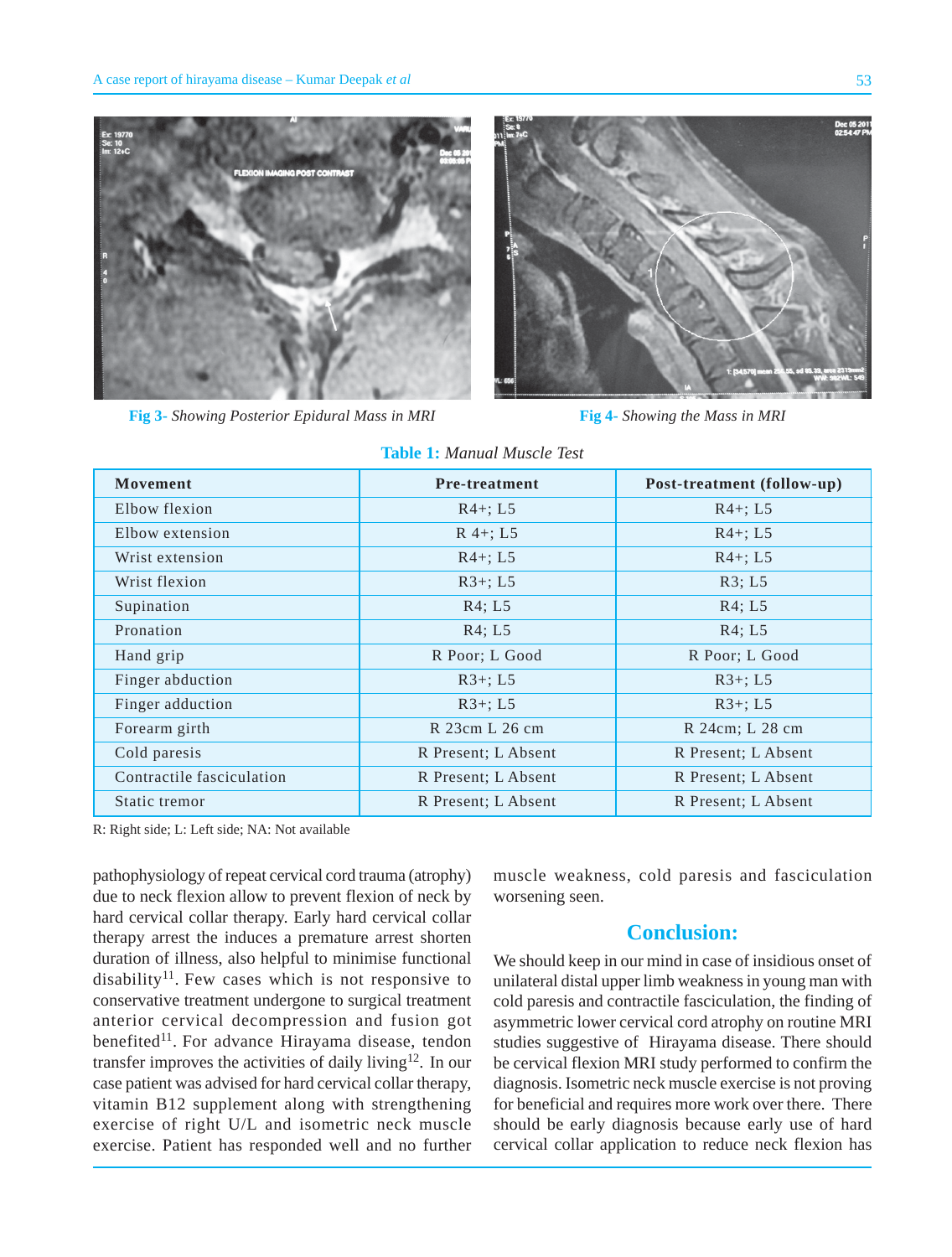

**Fig 3-** *Showing Posterior Epidural Mass in MRI* **Fig 4-** *Showing the Mass in MRI*



| Movement                  | <b>Pre-treatment</b> | Post-treatment (follow-up) |  |  |
|---------------------------|----------------------|----------------------------|--|--|
| Elbow flexion             | $R4+; L5$            | $R4+; L5$                  |  |  |
| Elbow extension           | $R$ 4+; L5           | $R4+; L5$                  |  |  |
| Wrist extension           | $R4+; L5$            | $R4+; L5$                  |  |  |
| Wrist flexion             | $R3+; L5$            | R3; L5                     |  |  |
| Supination                | R4; L5               | R4; L5                     |  |  |
| Pronation                 | R4; L5               | R4; L5                     |  |  |
| Hand grip                 | R Poor; L Good       | R Poor; L Good             |  |  |
| Finger abduction          | $R3+; L5$            | $R3+; L5$                  |  |  |
| Finger adduction          | $R3+; L5$            | $R3+; L5$                  |  |  |
| Forearm girth             | R 23cm L 26 cm       | R 24cm; L 28 cm            |  |  |
| Cold paresis              | R Present; L Absent  | R Present; L Absent        |  |  |
| Contractile fasciculation | R Present; L Absent  | R Present; L Absent        |  |  |
| Static tremor             | R Present; L Absent  | R Present; L Absent        |  |  |

**Table 1:** *Manual Muscle Test*

R: Right side; L: Left side; NA: Not available

pathophysiology of repeat cervical cord trauma (atrophy) due to neck flexion allow to prevent flexion of neck by hard cervical collar therapy. Early hard cervical collar therapy arrest the induces a premature arrest shorten duration of illness, also helpful to minimise functional disability<sup>11</sup>. Few cases which is not responsive to conservative treatment undergone to surgical treatment anterior cervical decompression and fusion got benefited<sup>11</sup>. For advance Hirayama disease, tendon transfer improves the activities of daily living<sup>12</sup>. In our case patient was advised for hard cervical collar therapy, vitamin B12 supplement along with strengthening exercise of right U/L and isometric neck muscle exercise. Patient has responded well and no further muscle weakness, cold paresis and fasciculation worsening seen.

### **Conclusion:**

We should keep in our mind in case of insidious onset of unilateral distal upper limb weakness in young man with cold paresis and contractile fasciculation, the finding of asymmetric lower cervical cord atrophy on routine MRI studies suggestive of Hirayama disease. There should be cervical flexion MRI study performed to confirm the diagnosis. Isometric neck muscle exercise is not proving for beneficial and requires more work over there. There should be early diagnosis because early use of hard cervical collar application to reduce neck flexion has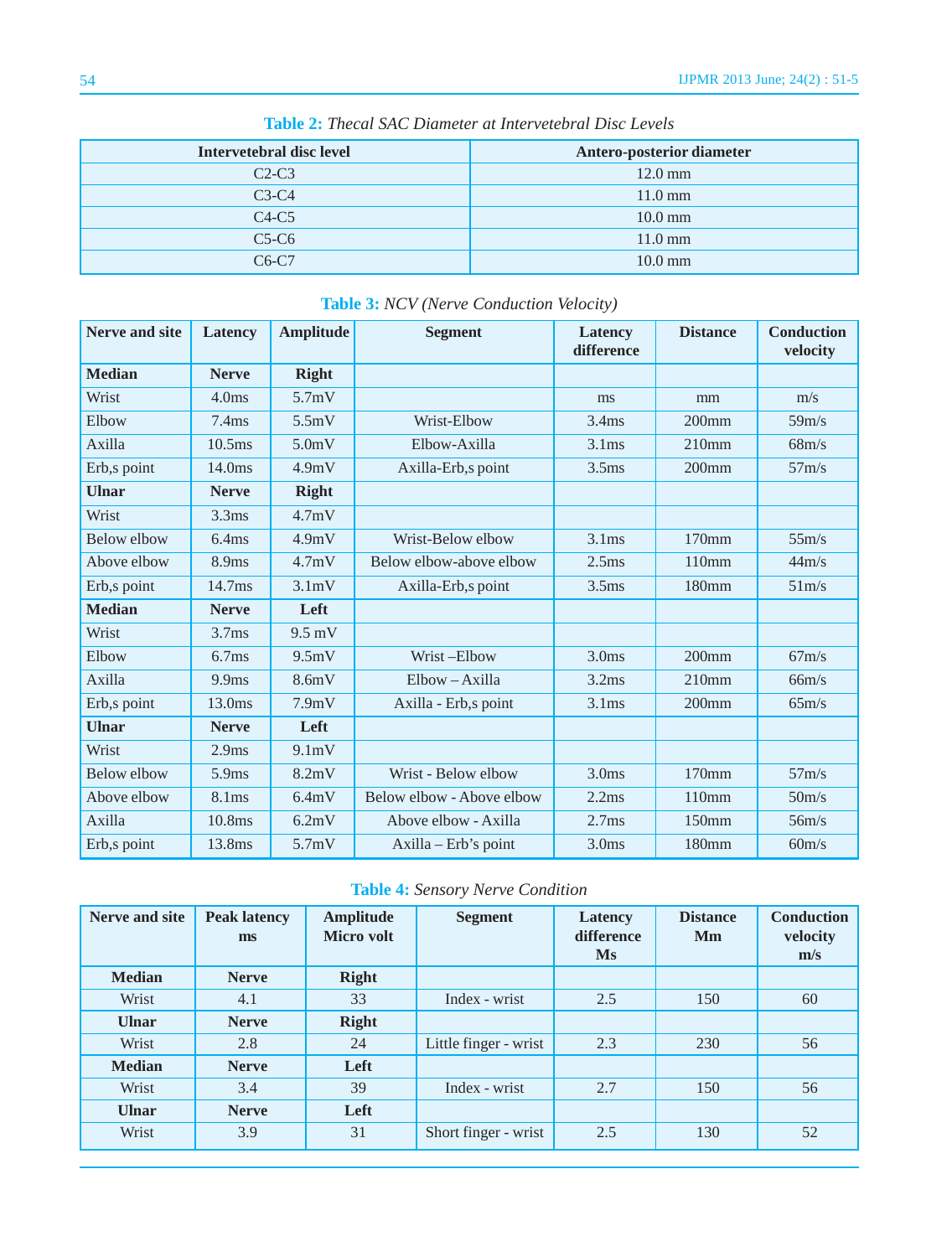| Intervetebral disc level | Antero-posterior diameter |
|--------------------------|---------------------------|
| $C2-C3$                  | $12.0 \text{ mm}$         |
| $C3-C4$                  | $11.0 \text{ mm}$         |
| $C4-C5$                  | $10.0 \text{ mm}$         |
| $C5-C6$                  | $11.0 \text{ mm}$         |
| $C6-C7$                  | $10.0 \text{ mm}$         |

**Table 2:** *Thecal SAC Diameter at Intervetebral Disc Levels*

| <b>Nerve and site</b> | Latency            | <b>Amplitude</b>   | <b>Segment</b>            | Latency<br>difference | <b>Distance</b> | <b>Conduction</b><br>velocity |
|-----------------------|--------------------|--------------------|---------------------------|-----------------------|-----------------|-------------------------------|
| <b>Median</b>         | <b>Nerve</b>       | <b>Right</b>       |                           |                       |                 |                               |
| Wrist                 | 4.0 <sub>ms</sub>  | 5.7mV              |                           | ms                    | mm              | m/s                           |
| Elbow                 | 7.4ms              | 5.5mV              | Wrist-Elbow               | 3.4 <sub>ms</sub>     | $200$ mm        | 59m/s                         |
| Axilla                | 10.5ms             | 5.0 <sub>m</sub> V | Elbow-Axilla              | 3.1 <sub>ms</sub>     | 210mm           | 68m/s                         |
| Erb,s point           | 14.0ms             | 4.9mV              | Axilla-Erb,s point        | 3.5 <sub>ms</sub>     | $200$ mm        | 57m/s                         |
| <b>Ulnar</b>          | <b>Nerve</b>       | <b>Right</b>       |                           |                       |                 |                               |
| Wrist                 | 3.3 <sub>ms</sub>  | 4.7mV              |                           |                       |                 |                               |
| Below elbow           | 6.4ms              | 4.9mV              | Wrist-Below elbow         | 3.1ms                 | $170$ mm        | 55m/s                         |
| Above elbow           | 8.9 <sub>ms</sub>  | 4.7mV              | Below elbow-above elbow   | 2.5 <sub>ms</sub>     | 110mm           | 44m/s                         |
| Erb,s point           | 14.7 <sub>ms</sub> | 3.1mV              | Axilla-Erb,s point        | 3.5 <sub>ms</sub>     | 180mm           | 51m/s                         |
| <b>Median</b>         | <b>Nerve</b>       | Left               |                           |                       |                 |                               |
| Wrist                 | 3.7 <sub>ms</sub>  | $9.5$ mV           |                           |                       |                 |                               |
| Elbow                 | 6.7ms              | 9.5mV              | Wrist-Elbow               | 3.0 <sub>ms</sub>     | $200$ mm        | 67m/s                         |
| Axilla                | 9.9ms              | 8.6mV              | Elbow-Axilla              | 3.2ms                 | 210mm           | 66m/s                         |
| Erb,s point           | 13.0 <sub>ms</sub> | 7.9mV              | Axilla - Erb,s point      | 3.1 <sub>ms</sub>     | $200$ mm        | 65m/s                         |
| <b>Ulnar</b>          | <b>Nerve</b>       | Left               |                           |                       |                 |                               |
| Wrist                 | 2.9 <sub>ms</sub>  | 9.1mV              |                           |                       |                 |                               |
| <b>Below elbow</b>    | 5.9ms              | 8.2mV              | Wrist - Below elbow       | 3.0 <sub>ms</sub>     | 170mm           | 57m/s                         |
| Above elbow           | 8.1 <sub>ms</sub>  | 6.4mV              | Below elbow - Above elbow | 2.2ms                 | 110mm           | 50 <sub>m</sub> /s            |
| Axilla                | 10.8ms             | 6.2mV              | Above elbow - Axilla      | 2.7 <sub>ms</sub>     | 150mm           | 56m/s                         |
| Erb,s point           | 13.8ms             | 5.7mV              | Axilla – Erb's point      | 3.0 <sub>ms</sub>     | 180mm           | 60m/s                         |

## **Table 3:** *NCV (Nerve Conduction Velocity)*

|  |  |  | Table 4: Sensory Nerve Condition |
|--|--|--|----------------------------------|
|--|--|--|----------------------------------|

| Nerve and site | <b>Peak latency</b><br>ms | <b>Amplitude</b><br>Micro volt | <b>Segment</b>        | Latency<br>difference<br><b>Ms</b> | <b>Distance</b><br>Mm | <b>Conduction</b><br>velocity<br>m/s |
|----------------|---------------------------|--------------------------------|-----------------------|------------------------------------|-----------------------|--------------------------------------|
| <b>Median</b>  | <b>Nerve</b>              | <b>Right</b>                   |                       |                                    |                       |                                      |
| Wrist          | 4.1                       | 33                             | Index - wrist         | 2.5                                | 150                   | 60                                   |
| <b>Ulnar</b>   | <b>Nerve</b>              | <b>Right</b>                   |                       |                                    |                       |                                      |
| Wrist          | 2.8                       | 24                             | Little finger - wrist | 2.3                                | 230                   | 56                                   |
| <b>Median</b>  | <b>Nerve</b>              | Left                           |                       |                                    |                       |                                      |
| Wrist          | 3.4                       | 39                             | Index - wrist         | 2.7                                | 150                   | 56                                   |
| <b>Ulnar</b>   | <b>Nerve</b>              | Left                           |                       |                                    |                       |                                      |
| Wrist          | 3.9                       | 31                             | Short finger - wrist  | 2.5                                | 130                   | 52                                   |